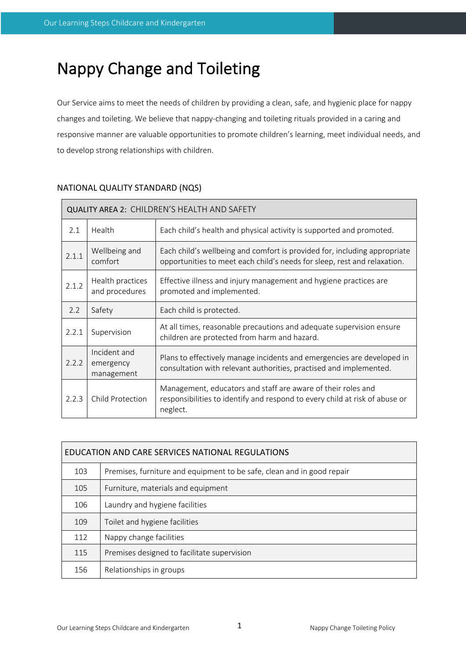# Nappy Change and Toileting

Our Service aims to meet the needs of children by providing a clean, safe, and hygienic place for nappy changes and toileting. We believe that nappy-changing and toileting rituals provided in a caring and responsive manner are valuable opportunities to promote children's learning, meet individual needs, and to develop strong relationships with children.

| <b>QUALITY AREA 2: CHILDREN'S HEALTH AND SAFETY</b> |                                         |                                                                                                                                                         |  |  |  |
|-----------------------------------------------------|-----------------------------------------|---------------------------------------------------------------------------------------------------------------------------------------------------------|--|--|--|
| 2.1                                                 | Health                                  | Each child's health and physical activity is supported and promoted.                                                                                    |  |  |  |
| 2.1.1                                               | Wellbeing and<br>comfort                | Each child's wellbeing and comfort is provided for, including appropriate<br>opportunities to meet each child's needs for sleep, rest and relaxation.   |  |  |  |
| 2.1.2                                               | Health practices<br>and procedures      | Effective illness and injury management and hygiene practices are<br>promoted and implemented.                                                          |  |  |  |
| 2.2                                                 | Safety                                  | Each child is protected.                                                                                                                                |  |  |  |
| 2.2.1                                               | Supervision                             | At all times, reasonable precautions and adequate supervision ensure<br>children are protected from harm and hazard.                                    |  |  |  |
| 2.2.2                                               | Incident and<br>emergency<br>management | Plans to effectively manage incidents and emergencies are developed in<br>consultation with relevant authorities, practised and implemented.            |  |  |  |
| 2.2.3                                               | Child Protection                        | Management, educators and staff are aware of their roles and<br>responsibilities to identify and respond to every child at risk of abuse or<br>neglect. |  |  |  |

# NATIONAL QUALITY STANDARD (NQS)

| EDUCATION AND CARE SERVICES NATIONAL REGULATIONS |                                                                        |  |  |  |
|--------------------------------------------------|------------------------------------------------------------------------|--|--|--|
| 103                                              | Premises, furniture and equipment to be safe, clean and in good repair |  |  |  |
| 105                                              | Furniture, materials and equipment                                     |  |  |  |
| 106                                              | Laundry and hygiene facilities                                         |  |  |  |
| 109                                              | Toilet and hygiene facilities                                          |  |  |  |
| 112                                              | Nappy change facilities                                                |  |  |  |
| 115                                              | Premises designed to facilitate supervision                            |  |  |  |
| 156                                              | Relationships in groups                                                |  |  |  |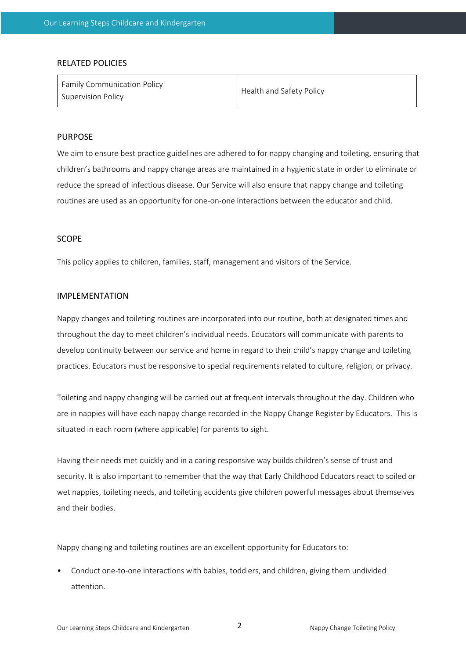#### RELATED POLICIES

| <b>Family Communication Policy</b><br>Supervision Policy | Health and Safety Policy |
|----------------------------------------------------------|--------------------------|
|----------------------------------------------------------|--------------------------|

# PURPOSE

We aim to ensure best practice guidelines are adhered to for nappy changing and toileting, ensuring that children's bathrooms and nappy change areas are maintained in a hygienic state in order to eliminate or reduce the spread of infectious disease. Our Service will also ensure that nappy change and toileting routines are used as an opportunity for one-on-one interactions between the educator and child.

### SCOPE

This policy applies to children, families, staff, management and visitors of the Service.

#### IMPLEMENTATION

Nappy changes and toileting routines are incorporated into our routine, both at designated times and throughout the day to meet children's individual needs. Educators will communicate with parents to develop continuity between our service and home in regard to their child's nappy change and toileting practices. Educators must be responsive to special requirements related to culture, religion, or privacy.

Toileting and nappy changing will be carried out at frequent intervals throughout the day. Children who are in nappies will have each nappy change recorded in the Nappy Change Register by Educators. This is situated in each room (where applicable) for parents to sight.

Having their needs met quickly and in a caring responsive way builds children's sense of trust and security. It is also important to remember that the way that Early Childhood Educators react to soiled or wet nappies, toileting needs, and toileting accidents give children powerful messages about themselves and their bodies.

Nappy changing and toileting routines are an excellent opportunity for Educators to:

• Conduct one-to-one interactions with babies, toddlers, and children, giving them undivided attention.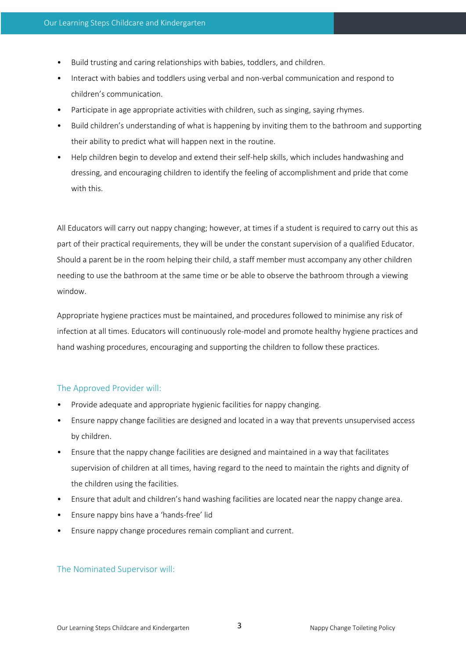- Build trusting and caring relationships with babies, toddlers, and children.
- Interact with babies and toddlers using verbal and non-verbal communication and respond to children's communication.
- Participate in age appropriate activities with children, such as singing, saying rhymes.
- Build children's understanding of what is happening by inviting them to the bathroom and supporting their ability to predict what will happen next in the routine.
- Help children begin to develop and extend their self-help skills, which includes handwashing and dressing, and encouraging children to identify the feeling of accomplishment and pride that come with this.

All Educators will carry out nappy changing; however, at times if a student is required to carry out this as part of their practical requirements, they will be under the constant supervision of a qualified Educator. Should a parent be in the room helping their child, a staff member must accompany any other children needing to use the bathroom at the same time or be able to observe the bathroom through a viewing window.

Appropriate hygiene practices must be maintained, and procedures followed to minimise any risk of infection at all times. Educators will continuously role-model and promote healthy hygiene practices and hand washing procedures, encouraging and supporting the children to follow these practices.

# The Approved Provider will:

- Provide adequate and appropriate hygienic facilities for nappy changing.
- Ensure nappy change facilities are designed and located in a way that prevents unsupervised access by children.
- Ensure that the nappy change facilities are designed and maintained in a way that facilitates supervision of children at all times, having regard to the need to maintain the rights and dignity of the children using the facilities.
- Ensure that adult and children's hand washing facilities are located near the nappy change area.
- Ensure nappy bins have a 'hands-free' lid
- Ensure nappy change procedures remain compliant and current.

# The Nominated Supervisor will: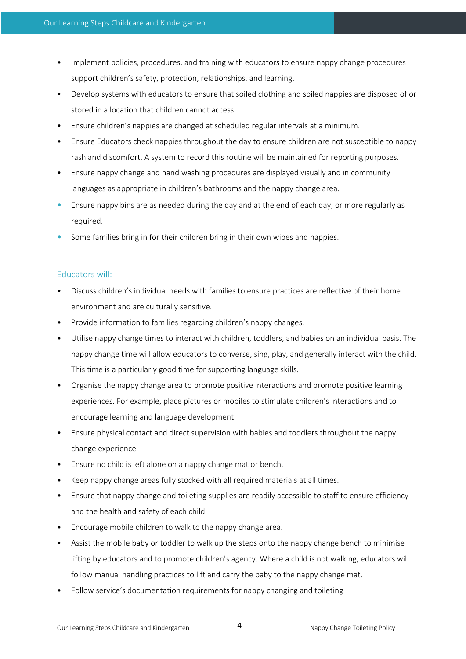- Implement policies, procedures, and training with educators to ensure nappy change procedures support children's safety, protection, relationships, and learning.
- Develop systems with educators to ensure that soiled clothing and soiled nappies are disposed of or stored in a location that children cannot access.
- Ensure children's nappies are changed at scheduled regular intervals at a minimum.
- Ensure Educators check nappies throughout the day to ensure children are not susceptible to nappy rash and discomfort. A system to record this routine will be maintained for reporting purposes.
- Ensure nappy change and hand washing procedures are displayed visually and in community languages as appropriate in children's bathrooms and the nappy change area.
- Ensure nappy bins are as needed during the day and at the end of each day, or more regularly as required.
- Some families bring in for their children bring in their own wipes and nappies.

# Educators will:

- Discuss children's individual needs with families to ensure practices are reflective of their home environment and are culturally sensitive.
- Provide information to families regarding children's nappy changes.
- Utilise nappy change times to interact with children, toddlers, and babies on an individual basis. The nappy change time will allow educators to converse, sing, play, and generally interact with the child. This time is a particularly good time for supporting language skills.
- Organise the nappy change area to promote positive interactions and promote positive learning experiences. For example, place pictures or mobiles to stimulate children's interactions and to encourage learning and language development.
- Ensure physical contact and direct supervision with babies and toddlers throughout the nappy change experience.
- Ensure no child is left alone on a nappy change mat or bench.
- Keep nappy change areas fully stocked with all required materials at all times.
- Ensure that nappy change and toileting supplies are readily accessible to staff to ensure efficiency and the health and safety of each child.
- Encourage mobile children to walk to the nappy change area.
- Assist the mobile baby or toddler to walk up the steps onto the nappy change bench to minimise lifting by educators and to promote children's agency. Where a child is not walking, educators will follow manual handling practices to lift and carry the baby to the nappy change mat.
- Follow service's documentation requirements for nappy changing and toileting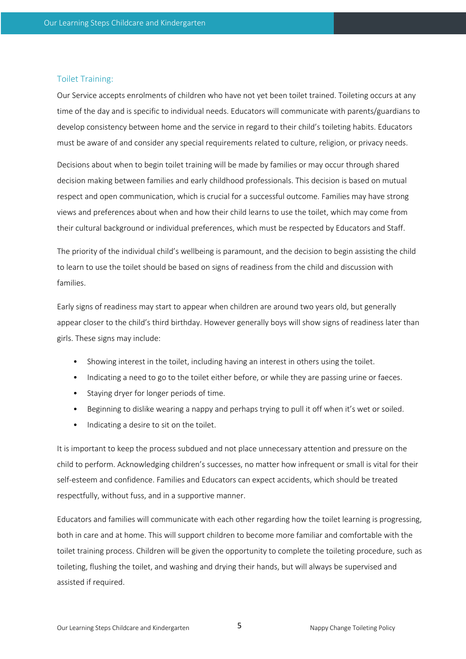## Toilet Training:

Our Service accepts enrolments of children who have not yet been toilet trained. Toileting occurs at any time of the day and is specific to individual needs. Educators will communicate with parents/guardians to develop consistency between home and the service in regard to their child's toileting habits. Educators must be aware of and consider any special requirements related to culture, religion, or privacy needs.

Decisions about when to begin toilet training will be made by families or may occur through shared decision making between families and early childhood professionals. This decision is based on mutual respect and open communication, which is crucial for a successful outcome. Families may have strong views and preferences about when and how their child learns to use the toilet, which may come from their cultural background or individual preferences, which must be respected by Educators and Staff.

The priority of the individual child's wellbeing is paramount, and the decision to begin assisting the child to learn to use the toilet should be based on signs of readiness from the child and discussion with families.

Early signs of readiness may start to appear when children are around two years old, but generally appear closer to the child's third birthday. However generally boys will show signs of readiness later than girls. These signs may include:

- Showing interest in the toilet, including having an interest in others using the toilet.
- Indicating a need to go to the toilet either before, or while they are passing urine or faeces.
- Staying dryer for longer periods of time.
- Beginning to dislike wearing a nappy and perhaps trying to pull it off when it's wet or soiled.
- Indicating a desire to sit on the toilet.

It is important to keep the process subdued and not place unnecessary attention and pressure on the child to perform. Acknowledging children's successes, no matter how infrequent or small is vital for their self-esteem and confidence. Families and Educators can expect accidents, which should be treated respectfully, without fuss, and in a supportive manner.

Educators and families will communicate with each other regarding how the toilet learning is progressing, both in care and at home. This will support children to become more familiar and comfortable with the toilet training process. Children will be given the opportunity to complete the toileting procedure, such as toileting, flushing the toilet, and washing and drying their hands, but will always be supervised and assisted if required.